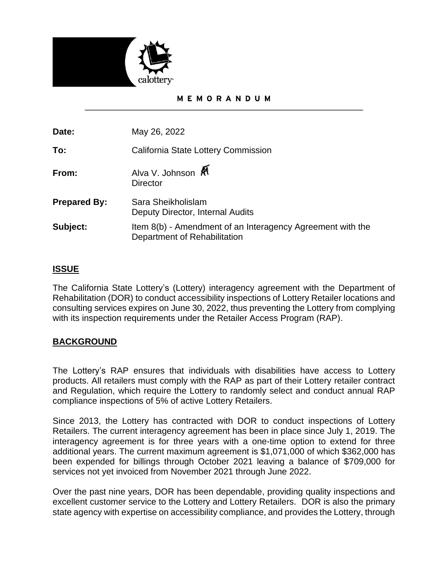

#### MEMORANDUM

**Date:** May 26, 2022

**To:** California State Lottery Commission

**From:** Alva V. Johnson  $\mathbb{R}^{\mathbb{N}}$ **Director** 

| <b>Prepared By:</b> | Sara Sheikholislam<br>Deputy Director, Internal Audits                                     |
|---------------------|--------------------------------------------------------------------------------------------|
| Subject:            | Item 8(b) - Amendment of an Interagency Agreement with the<br>Department of Rehabilitation |

## **ISSUE**

The California State Lottery's (Lottery) interagency agreement with the Department of Rehabilitation (DOR) to conduct accessibility inspections of Lottery Retailer locations and consulting services expires on June 30, 2022, thus preventing the Lottery from complying with its inspection requirements under the Retailer Access Program (RAP).

# **BACKGROUND**

The Lottery's RAP ensures that individuals with disabilities have access to Lottery products. All retailers must comply with the RAP as part of their Lottery retailer contract and Regulation, which require the Lottery to randomly select and conduct annual RAP compliance inspections of 5% of active Lottery Retailers.

Since 2013, the Lottery has contracted with DOR to conduct inspections of Lottery Retailers. The current interagency agreement has been in place since July 1, 2019. The interagency agreement is for three years with a one-time option to extend for three additional years. The current maximum agreement is \$1,071,000 of which \$362,000 has been expended for billings through October 2021 leaving a balance of \$709,000 for services not yet invoiced from November 2021 through June 2022.

Over the past nine years, DOR has been dependable, providing quality inspections and excellent customer service to the Lottery and Lottery Retailers. DOR is also the primary state agency with expertise on accessibility compliance, and provides the Lottery, through